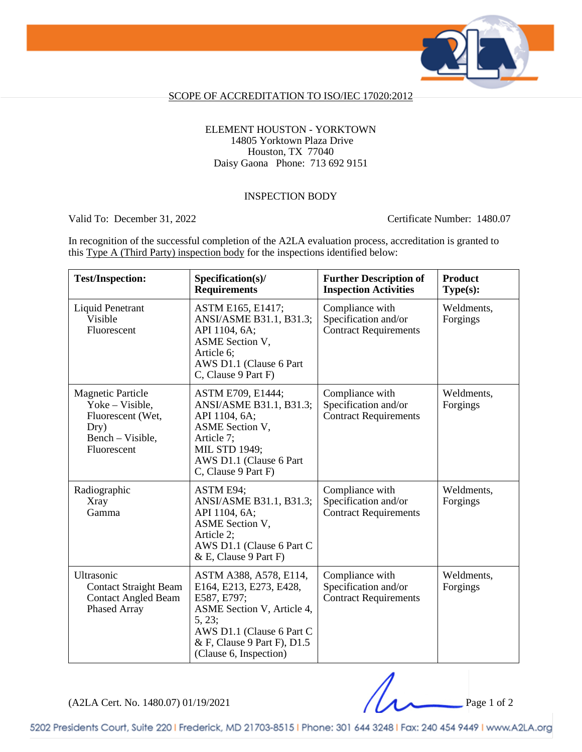

### SCOPE OF ACCREDITATION TO ISO/IEC 17020:2012

### ELEMENT HOUSTON - YORKTOWN 14805 Yorktown Plaza Drive Houston, TX 77040 Daisy Gaona Phone: 713 692 9151

### INSPECTION BODY

Valid To: December 31, 2022 Certificate Number: 1480.07

In recognition of the successful completion of the A2LA evaluation process, accreditation is granted to this Type A (Third Party) inspection body for the inspections identified below:

| <b>Test/Inspection:</b>                                                                                     | Specification(s)/<br><b>Requirements</b>                                                                                                                                                       | <b>Further Description of</b><br><b>Inspection Activities</b>           | <b>Product</b><br>Type(s): |
|-------------------------------------------------------------------------------------------------------------|------------------------------------------------------------------------------------------------------------------------------------------------------------------------------------------------|-------------------------------------------------------------------------|----------------------------|
| <b>Liquid Penetrant</b><br>Visible<br>Fluorescent                                                           | ASTM E165, E1417;<br>ANSI/ASME B31.1, B31.3;<br>API 1104, 6A;<br>ASME Section V,<br>Article 6;<br>AWS D1.1 (Clause 6 Part<br>C, Clause 9 Part F)                                               | Compliance with<br>Specification and/or<br><b>Contract Requirements</b> | Weldments,<br>Forgings     |
| <b>Magnetic Particle</b><br>Yoke – Visible,<br>Fluorescent (Wet,<br>Dry)<br>Bench – Visible,<br>Fluorescent | ASTM E709, E1444;<br>ANSI/ASME B31.1, B31.3;<br>API 1104, 6A;<br>ASME Section V,<br>Article 7:<br>MIL STD 1949;<br>AWS D1.1 (Clause 6 Part<br>C, Clause 9 Part F)                              | Compliance with<br>Specification and/or<br><b>Contract Requirements</b> | Weldments,<br>Forgings     |
| Radiographic<br><b>Xray</b><br>Gamma                                                                        | ASTM E94;<br>ANSI/ASME B31.1, B31.3;<br>API 1104, 6A;<br>ASME Section V,<br>Article 2:<br>AWS D1.1 (Clause 6 Part C<br>& E, Clause 9 Part F)                                                   | Compliance with<br>Specification and/or<br><b>Contract Requirements</b> | Weldments,<br>Forgings     |
| Ultrasonic<br><b>Contact Straight Beam</b><br><b>Contact Angled Beam</b><br>Phased Array                    | ASTM A388, A578, E114,<br>E164, E213, E273, E428,<br>E587, E797;<br>ASME Section V, Article 4,<br>5, 23;<br>AWS D1.1 (Clause 6 Part C<br>& F, Clause 9 Part F), D1.5<br>(Clause 6, Inspection) | Compliance with<br>Specification and/or<br><b>Contract Requirements</b> | Weldments,<br>Forgings     |

(A2LA Cert. No. 1480.07) 01/19/2021 Page 1 of 2

5202 Presidents Court, Suite 220 | Frederick, MD 21703-8515 | Phone: 301 644 3248 | Fax: 240 454 9449 | www.A2LA.org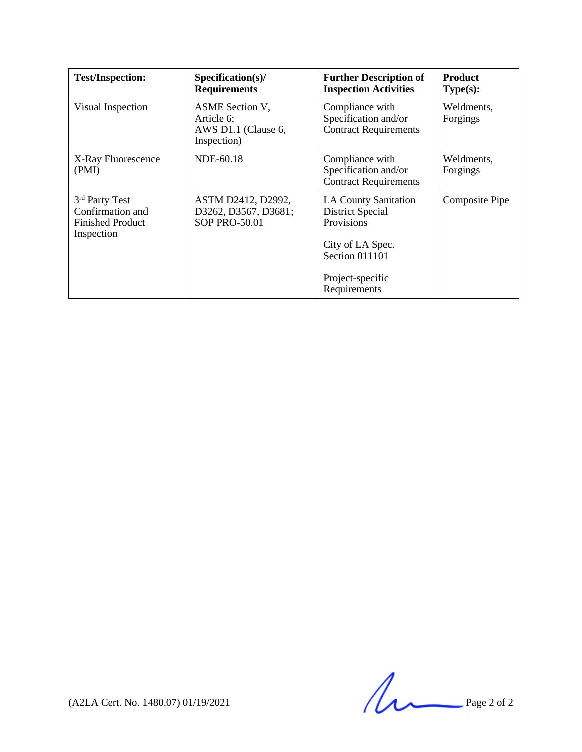| <b>Test/Inspection:</b>                                                                 | $Specification(s)$ /<br><b>Requirements</b>                                | <b>Further Description of</b><br><b>Inspection Activities</b>                                       | <b>Product</b><br>Type(s): |
|-----------------------------------------------------------------------------------------|----------------------------------------------------------------------------|-----------------------------------------------------------------------------------------------------|----------------------------|
| Visual Inspection                                                                       | <b>ASME</b> Section V,<br>Article 6;<br>AWS D1.1 (Clause 6,<br>Inspection) | Compliance with<br>Specification and/or<br><b>Contract Requirements</b>                             | Weldments,<br>Forgings     |
| X-Ray Fluorescence<br>(PMI)                                                             | NDE-60.18                                                                  | Compliance with<br>Specification and/or<br><b>Contract Requirements</b>                             | Weldments,<br>Forgings     |
| 3 <sup>rd</sup> Party Test<br>Confirmation and<br><b>Finished Product</b><br>Inspection | ASTM D2412, D2992,<br>D3262, D3567, D3681;<br>SOP PRO-50.01                | <b>LA County Sanitation</b><br>District Special<br>Provisions<br>City of LA Spec.<br>Section 011101 | <b>Composite Pipe</b>      |
|                                                                                         |                                                                            | Project-specific<br>Requirements                                                                    |                            |

 $(A2LA$  Cert. No. 1480.07) 01/19/2021